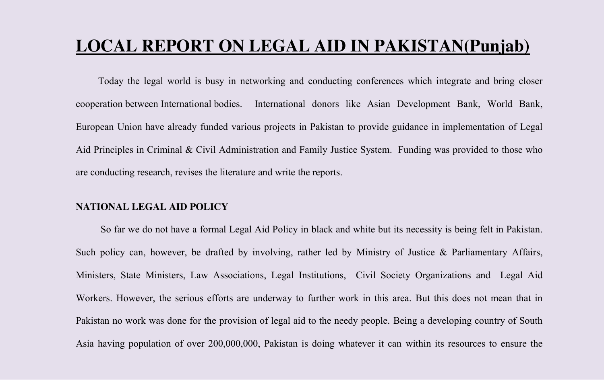### **LOCAL REPORT ON LEGAL AID IN PAKISTAN(Punjab)**

Today the legal world is busy in networking and conducting conferences which integrate and bring closer cooperation between International bodies. International donors like Asian Development Bank, World Bank, European Union have already funded various projects in Pakistan to provide guidance in implementation of Legal Aid Principles in Criminal & Civil Administration and Family Justice System. Funding was provided to those who are conducting research, revises the literature and write the reports.

#### **NATIONAL LEGAL AID POLICY**

So far we do not have a formal Legal Aid Policy in black and white but its necessity is being felt in Pakistan. Such policy can, however, be drafted by involving, rather led by Ministry of Justice & Parliamentary Affairs, Ministers, State Ministers, Law Associations, Legal Institutions, Civil Society Organizations and Legal Aid Workers. However, the serious efforts are underway to further work in this area. But this does not mean that in Pakistan no work was done for the provision of legal aid to the needy people. Being a developing country of South Asia having population of over 200,000,000, Pakistan is doing whatever it can within its resources to ensure the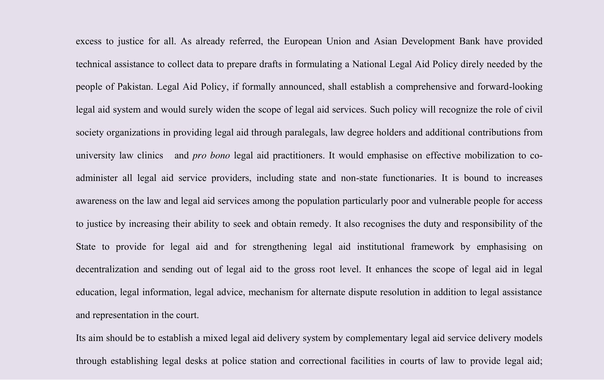excess to justice for all. As already referred, the European Union and Asian Development Bank have provided technical assistance to collect data to prepare drafts in formulating a National Legal Aid Policy direly needed by the people of Pakistan. Legal Aid Policy, if formally announced, shall establish a comprehensive and forward-looking legal aid system and would surely widen the scope of legal aid services. Such policy will recognize the role of civil society organizations in providing legal aid through paralegals, law degree holders and additional contributions from university law clinics and *pro bono* legal aid practitioners. It would emphasise on effective mobilization to coadminister all legal aid service providers, including state and non-state functionaries. It is bound to increases awareness on the law and legal aid services among the population particularly poor and vulnerable people for access to justice by increasing their ability to seek and obtain remedy. It also recognises the duty and responsibility of the State to provide for legal aid and for strengthening legal aid institutional framework by emphasising on decentralization and sending out of legal aid to the gross root level. It enhances the scope of legal aid in legal education, legal information, legal advice, mechanism for alternate dispute resolution in addition to legal assistance and representation in the court.

Its aim should be to establish a mixed legal aid delivery system by complementary legal aid service delivery models through establishing legal desks at police station and correctional facilities in courts of law to provide legal aid;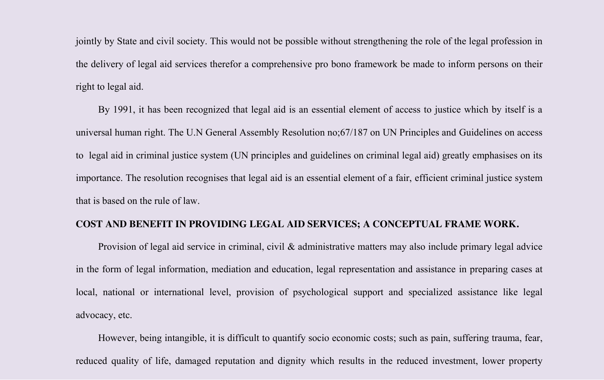jointly by State and civil society. This would not be possible without strengthening the role of the legal profession in the delivery of legal aid services therefor a comprehensive pro bono framework be made to inform persons on their right to legal aid.

By 1991, it has been recognized that legal aid is an essential element of access to justice which by itself is a universal human right. The U.N General Assembly Resolution no;67/187 on UN Principles and Guidelines on access to legal aid in criminal justice system (UN principles and guidelines on criminal legal aid) greatly emphasises on its importance. The resolution recognises that legal aid is an essential element of a fair, efficient criminal justice system that is based on the rule of law.

#### **COST AND BENEFIT IN PROVIDING LEGAL AID SERVICES; A CONCEPTUAL FRAME WORK.**

Provision of legal aid service in criminal, civil & administrative matters may also include primary legal advice in the form of legal information, mediation and education, legal representation and assistance in preparing cases at local, national or international level, provision of psychological support and specialized assistance like legal advocacy, etc.

However, being intangible, it is difficult to quantify socio economic costs; such as pain, suffering trauma, fear, reduced quality of life, damaged reputation and dignity which results in the reduced investment, lower property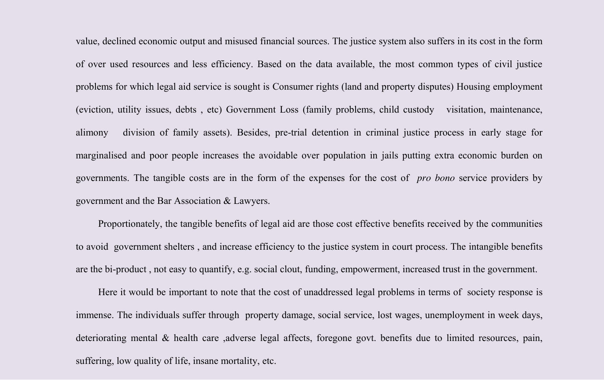value, declined economic output and misused financial sources. The justice system also suffers in its cost in the form of over used resources and less efficiency. Based on the data available, the most common types of civil justice problems for which legal aid service is sought is Consumer rights (land and property disputes) Housing employment (eviction, utility issues, debts , etc) Government Loss (family problems, child custody visitation, maintenance, alimony division of family assets). Besides, pre-trial detention in criminal justice process in early stage for marginalised and poor people increases the avoidable over population in jails putting extra economic burden on governments. The tangible costs are in the form of the expenses for the cost of *pro bono* service providers by government and the Bar Association & Lawyers.

Proportionately, the tangible benefits of legal aid are those cost effective benefits received by the communities to avoid government shelters , and increase efficiency to the justice system in court process. The intangible benefits are the bi-product , not easy to quantify, e.g. social clout, funding, empowerment, increased trust in the government.

Here it would be important to note that the cost of unaddressed legal problems in terms of society response is immense. The individuals suffer through property damage, social service, lost wages, unemployment in week days, deteriorating mental & health care ,adverse legal affects, foregone govt. benefits due to limited resources, pain, suffering, low quality of life, insane mortality, etc.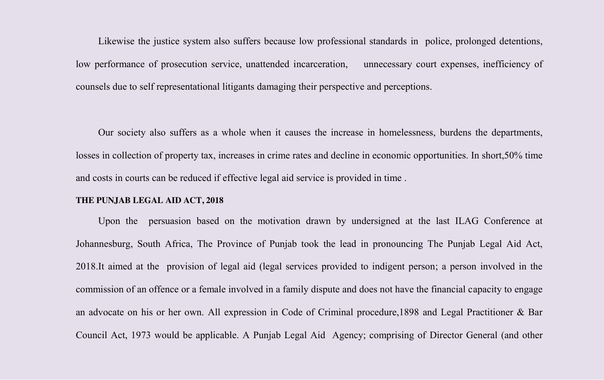Likewise the justice system also suffers because low professional standards in police, prolonged detentions, low performance of prosecution service, unattended incarceration, unnecessary court expenses, inefficiency of counsels due to self representational litigants damaging their perspective and perceptions.

Our society also suffers as a whole when it causes the increase in homelessness, burdens the departments, losses in collection of property tax, increases in crime rates and decline in economic opportunities. In short,50% time and costs in courts can be reduced if effective legal aid service is provided in time .

#### **THE PUNJAB LEGAL AID ACT, 2018**

Upon the persuasion based on the motivation drawn by undersigned at the last ILAG Conference at Johannesburg, South Africa, The Province of Punjab took the lead in pronouncing The Punjab Legal Aid Act, 2018.It aimed at the provision of legal aid (legal services provided to indigent person; a person involved in the commission of an offence or a female involved in a family dispute and does not have the financial capacity to engage an advocate on his or her own. All expression in Code of Criminal procedure,1898 and Legal Practitioner & Bar Council Act, 1973 would be applicable. A Punjab Legal Aid Agency; comprising of Director General (and other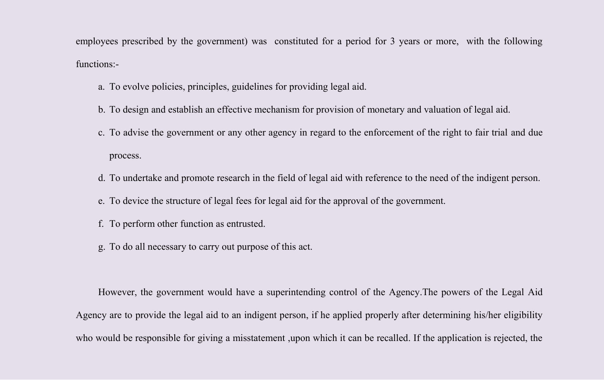employees prescribed by the government) was constituted for a period for 3 years or more, with the following functions:-

- a. To evolve policies, principles, guidelines for providing legal aid.
- b. To design and establish an effective mechanism for provision of monetary and valuation of legal aid.
- c. To advise the government or any other agency in regard to the enforcement of the right to fair trial and due process.
- d. To undertake and promote research in the field of legal aid with reference to the need of the indigent person.
- e. To device the structure of legal fees for legal aid for the approval of the government.
- f. To perform other function as entrusted.
- g. To do all necessary to carry out purpose of this act.

However, the government would have a superintending control of the Agency.The powers of the Legal Aid Agency are to provide the legal aid to an indigent person, if he applied properly after determining his/her eligibility who would be responsible for giving a misstatement ,upon which it can be recalled. If the application is rejected, the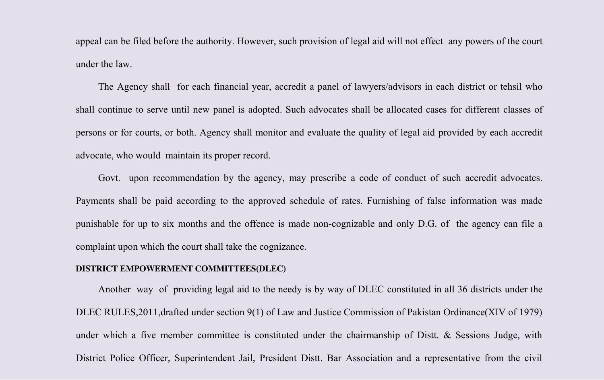appeal can be filed before the authority. However, such provision of legal aid will not effect any powers of the court under the law.

The Agency shall for each financial year, accredit a panel of lawyers/advisors in each district or tehsil who shall continue to serve until new panel is adopted. Such advocates shall be allocated cases for different classes of persons or for courts, or both. Agency shall monitor and evaluate the quality of legal aid provided by each accredit advocate, who would maintain its proper record.

Govt. upon recommendation by the agency, may prescribe a code of conduct of such accredit advocates. Payments shall be paid according to the approved schedule of rates. Furnishing of false information was made punishable for up to six months and the offence is made non-cognizable and only D.G. of the agency can file a complaint upon which the court shall take the cognizance.

#### **DISTRICT EMPOWERMENT COMMITTEES(DLEC)**

Another way of providing legal aid to the needy is by way of DLEC constituted in all 36 districts under the DLEC RULES,2011,drafted under section 9(1) of Law and Justice Commission of Pakistan Ordinance(XIV of 1979) under which a five member committee is constituted under the chairmanship of Distt. & Sessions Judge, with District Police Officer, Superintendent Jail, President Distt. Bar Association and a representative from the civil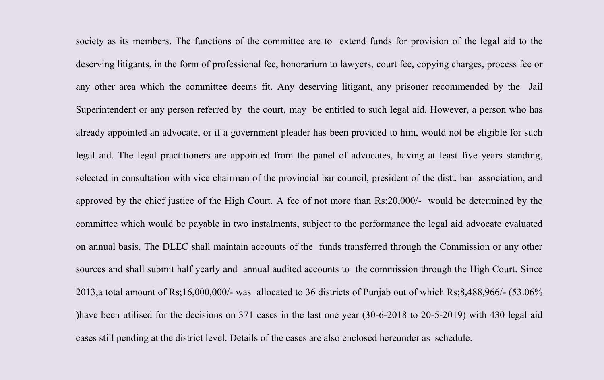society as its members. The functions of the committee are to extend funds for provision of the legal aid to the deserving litigants, in the form of professional fee, honorarium to lawyers, court fee, copying charges, process fee or any other area which the committee deems fit. Any deserving litigant, any prisoner recommended by the Jail Superintendent or any person referred by the court, may be entitled to such legal aid. However, a person who has already appointed an advocate, or if a government pleader has been provided to him, would not be eligible for such legal aid. The legal practitioners are appointed from the panel of advocates, having at least five years standing, selected in consultation with vice chairman of the provincial bar council, president of the distt. bar association, and approved by the chief justice of the High Court. A fee of not more than Rs;20,000/- would be determined by the committee which would be payable in two instalments, subject to the performance the legal aid advocate evaluated on annual basis. The DLEC shall maintain accounts of the funds transferred through the Commission or any other sources and shall submit half yearly and annual audited accounts to the commission through the High Court. Since 2013,a total amount of Rs;16,000,000/- was allocated to 36 districts of Punjab out of which Rs;8,488,966/- (53.06% )have been utilised for the decisions on 371 cases in the last one year (30-6-2018 to 20-5-2019) with 430 legal aid cases still pending at the district level. Details of the cases are also enclosed hereunder as schedule.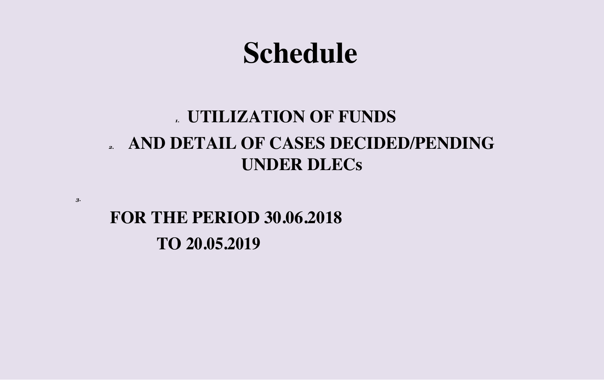# **Schedule**

## *1.* **UTILIZATION OF FUNDS** *2.* **AND DETAIL OF CASES DECIDED/PENDING UNDER DLECs**

**FOR THE PERIOD 30.06.2018 TO 20.05.2019**

*3.*